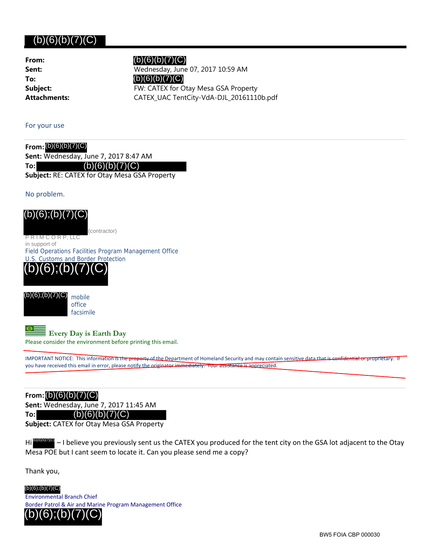## $(b)(6)(b)(7)(C)$

**From: To:**

 $(b)(6)(b)(7)(C)$ 

**Sent:** Wednesday, June 07, 2017 10:59 AM **Subject:** FW: CATEX for Otay Mesa GSA Property **Attachments:** CATEX\_UAC TentCity-VdA-DJL\_20161110b.pdf (b)(6)(b)(7)(C)

For your use

**From:** (b)(6)(b)(7)(C)**Sent:** Wednesday, June 7, 2017 8:47 AM

**To:**  $(b)(6)(b)(7)(C)$ 

**Subject:** RE: CATEX for Otay Mesa GSA Property

No problem.

(contractor)

P R I M C O R P, LLC in support of

Field Operations Facilities Program Management Office U.S. Customs and Border Protection





**Every Day is Earth Day**

Please consider the environment before printing this email.

IMPORTANT NOTICE: This information is the property of the Department of Homeland Security and may contain sensitive data that is confidential or proprietary. If you have received this email in error, please notify the originator immediately. Your assistance is appreciated

**From:** (b)(6)(b)(7)(C)

**Sent:** Wednesday, June 7, 2017 11:45 AM

## **To:** (b)(6)(b)(7)(C)

**Subject:** CATEX for Otay Mesa GSA Property

Hi<sup>(b)(6)(6)(7)(C)</sup> – I believe you previously sent us the CATEX you produced for the tent city on the GSA lot adjacent to the Otay Mesa POE but I cant seem to locate it. Can you please send me a copy?

Thank you,

Environmental Branch Chief Border Patrol & Air and Marine Program Management Office (b)(6);(b)(7)(C) (b)(6);(b)(7)(C)<br>
PRIMCORP, LLC<br>
insupport of<br>
Field Operations Facilities Pro<br>
U.S. Customs and Border Pro<br>
(b)(6);(b)(7)(C)<br>
(b)(6);(b)(7)(C)<br>
(b)(6);(b)(7)(C)<br>
(b)(6);(b)(7)(C)<br>
mobile<br>
office<br>
facsimile<br>
Every Day is